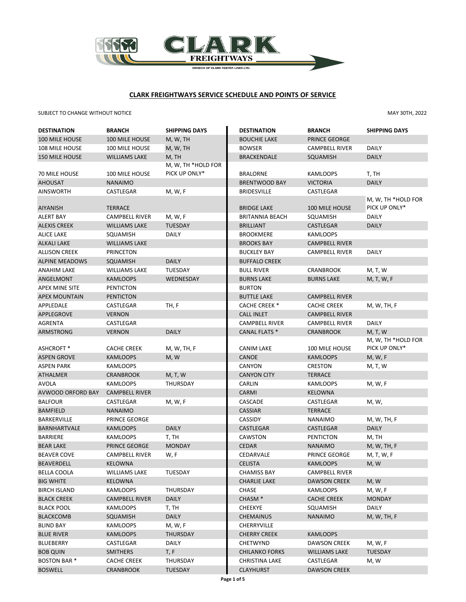

# **CLARK FREIGHTWAYS SERVICE SCHEDULE AND POINTS OF SERVICE**

# SUBJECT TO CHANGE WITHOUT NOTICE **MAY 30TH, 2022**

| <b>DESTINATION</b>      | <b>BRANCH</b>         | <b>SHIPPING DAYS</b> | <b>DESTINATION</b>     | <b>BRANCH</b>         | <b>SHIPPING DAYS</b> |
|-------------------------|-----------------------|----------------------|------------------------|-----------------------|----------------------|
| 100 MILE HOUSE          | 100 MILE HOUSE        | M, W, TH             | <b>BOUCHIE LAKE</b>    | <b>PRINCE GEORGE</b>  |                      |
| 108 MILE HOUSE          | 100 MILE HOUSE        | M, W, TH             | <b>BOWSER</b>          | <b>CAMPBELL RIVER</b> | <b>DAILY</b>         |
| <b>150 MILE HOUSE</b>   | <b>WILLIAMS LAKE</b>  | M, TH                | <b>BRACKENDALE</b>     | SQUAMISH              | <b>DAILY</b>         |
|                         |                       | M, W, TH *HOLD FOR   |                        |                       |                      |
| 70 MILE HOUSE           | 100 MILE HOUSE        | PICK UP ONLY*        | <b>BRALORNE</b>        | <b>KAMLOOPS</b>       | T, TH                |
| <b>AHOUSAT</b>          | <b>NANAIMO</b>        |                      | <b>BRENTWOOD BAY</b>   | <b>VICTORIA</b>       | <b>DAILY</b>         |
| <b>AINSWORTH</b>        | CASTLEGAR             | M, W, F              | <b>BRIDESVILLE</b>     | CASTLEGAR             |                      |
|                         |                       |                      |                        |                       | M, W, TH *HOLD FOR   |
| <b>AIYANISH</b>         | <b>TERRACE</b>        |                      | <b>BRIDGE LAKE</b>     | 100 MILE HOUSE        | PICK UP ONLY*        |
| <b>ALERT BAY</b>        | <b>CAMPBELL RIVER</b> | M, W, F              | <b>BRITANNIA BEACH</b> | SQUAMISH              | DAILY                |
| <b>ALEXIS CREEK</b>     | <b>WILLIAMS LAKE</b>  | <b>TUESDAY</b>       | <b>BRILLIANT</b>       | CASTLEGAR             | <b>DAILY</b>         |
| <b>ALICE LAKE</b>       | SQUAMISH              | <b>DAILY</b>         | <b>BROOKMERE</b>       | <b>KAMLOOPS</b>       |                      |
| <b>ALKALI LAKE</b>      | <b>WILLIAMS LAKE</b>  |                      | <b>BROOKS BAY</b>      | <b>CAMPBELL RIVER</b> |                      |
| <b>ALLISON CREEK</b>    | <b>PRINCETON</b>      |                      | <b>BUCKLEY BAY</b>     | <b>CAMPBELL RIVER</b> | <b>DAILY</b>         |
| <b>ALPINE MEADOWS</b>   | <b>SQUAMISH</b>       | <b>DAILY</b>         | <b>BUFFALO CREEK</b>   |                       |                      |
| <b>ANAHIM LAKE</b>      | <b>WILLIAMS LAKE</b>  | <b>TUESDAY</b>       | <b>BULL RIVER</b>      | <b>CRANBROOK</b>      | M, T, W              |
| ANGELMONT               | <b>KAMLOOPS</b>       | WEDNESDAY            | <b>BURNS LAKE</b>      | <b>BURNS LAKE</b>     | M, T, W, F           |
| APEX MINE SITE          | <b>PENTICTON</b>      |                      | <b>BURTON</b>          |                       |                      |
| <b>APEX MOUNTAIN</b>    | <b>PENTICTON</b>      |                      | <b>BUTTLE LAKE</b>     | <b>CAMPBELL RIVER</b> |                      |
| APPLEDALE               | CASTLEGAR             | TH, F                | <b>CACHE CREEK *</b>   | <b>CACHE CREEK</b>    | M, W, TH, F          |
| <b>APPLEGROVE</b>       | <b>VERNON</b>         |                      | <b>CALL INLET</b>      | <b>CAMPBELL RIVER</b> |                      |
| <b>AGRENTA</b>          | CASTLEGAR             |                      | <b>CAMPBELL RIVER</b>  | <b>CAMPBELL RIVER</b> | <b>DAILY</b>         |
| <b>ARMSTRONG</b>        | <b>VERNON</b>         | <b>DAILY</b>         | CANAL FLATS *          | <b>CRANBROOK</b>      | M, T, W              |
|                         |                       |                      |                        |                       | M, W, TH *HOLD FOR   |
| ASHCROFT <sup>*</sup>   | <b>CACHE CREEK</b>    | M, W, TH, F          | <b>CANIM LAKE</b>      | 100 MILE HOUSE        | PICK UP ONLY*        |
| <b>ASPEN GROVE</b>      | <b>KAMLOOPS</b>       | M, W                 | <b>CANOE</b>           | <b>KAMLOOPS</b>       | M, W, F              |
| <b>ASPEN PARK</b>       | <b>KAMLOOPS</b>       |                      | <b>CANYON</b>          | <b>CRESTON</b>        | M, T, W              |
| <b>ATHALMER</b>         | <b>CRANBROOK</b>      | M, T, W              | <b>CANYON CITY</b>     | <b>TERRACE</b>        |                      |
| <b>AVOLA</b>            | <b>KAMLOOPS</b>       | <b>THURSDAY</b>      | CARLIN                 | <b>KAMLOOPS</b>       | M, W, F              |
| AVWOOD ORFORD BAY       | <b>CAMPBELL RIVER</b> |                      | <b>CARMI</b>           | <b>KELOWNA</b>        |                      |
| <b>BALFOUR</b>          | CASTLEGAR             | M, W, F              | CASCADE                | CASTLEGAR             | M, W,                |
| <b>BAMFIELD</b>         | <b>NANAIMO</b>        |                      | <b>CASSIAR</b>         | <b>TERRACE</b>        |                      |
| <b>BARKERVILLE</b>      | PRINCE GEORGE         |                      | CASSIDY                | <b>NANAIMO</b>        | M, W, TH, F          |
| <b>BARNHARTVALE</b>     | <b>KAMLOOPS</b>       | <b>DAILY</b>         | <b>CASTLEGAR</b>       | <b>CASTLEGAR</b>      | <b>DAILY</b>         |
| <b>BARRIERE</b>         | KAMLOOPS              | T, TH                | CAWSTON                | <b>PENTICTON</b>      | M, TH                |
| <b>BEAR LAKE</b>        | PRINCE GEORGE         | <b>MONDAY</b>        | <b>CEDAR</b>           | <b>NANAIMO</b>        | M, W, TH, F          |
| <b>BEAVER COVE</b>      | <b>CAMPBELL RIVER</b> | W, F                 | CEDARVALE              | PRINCE GEORGE         | M, T, W, F           |
| BEAVERDELL              | KELOWNA               |                      | <b>CELISTA</b>         | <b>KAMLOOPS</b>       | M, W                 |
| BELLA COOLA             | <b>WILLIAMS LAKE</b>  | <b>TUESDAY</b>       | CHAMISS BAY            | CAMPBELL RIVER        |                      |
| <b>BIG WHITE</b>        | <b>KELOWNA</b>        |                      | <b>CHARLIE LAKE</b>    | <b>DAWSON CREEK</b>   | M, W                 |
| <b>BIRCH ISLAND</b>     | KAMLOOPS              | THURSDAY             | <b>CHASE</b>           | <b>KAMLOOPS</b>       | M, W, F              |
| <b>BLACK CREEK</b>      | <b>CAMPBELL RIVER</b> | <b>DAILY</b>         | CHASM <sup>*</sup>     | <b>CACHE CREEK</b>    | <b>MONDAY</b>        |
| <b>BLACK POOL</b>       | KAMLOOPS              | T, TH                | <b>CHEEKYE</b>         | SQUAMISH              | DAILY                |
| <b>BLACKCOMB</b>        | SQUAMISH              | <b>DAILY</b>         | <b>CHEMAINUS</b>       | <b>NANAIMO</b>        | M, W, TH, F          |
| <b>BLIND BAY</b>        | KAMLOOPS              | M, W, F              | <b>CHERRYVILLE</b>     |                       |                      |
| <b>BLUE RIVER</b>       | KAMLOOPS              | THURSDAY             | <b>CHERRY CREEK</b>    | <b>KAMLOOPS</b>       |                      |
| <b>BLUEBERRY</b>        | CASTLEGAR             | DAILY                | CHETWYND               | <b>DAWSON CREEK</b>   | M, W, F              |
| <b>BOB QUIN</b>         | SMITHERS              | T, F                 | <b>CHILANKO FORKS</b>  | <b>WILLIAMS LAKE</b>  | TUESDAY              |
| BOSTON BAR <sup>*</sup> | <b>CACHE CREEK</b>    | THURSDAY             | <b>CHRISTINA LAKE</b>  | CASTLEGAR             | M, W                 |
| <b>BOSWELL</b>          | <b>CRANBROOK</b>      | <b>TUESDAY</b>       | <b>CLAYHURST</b>       | <b>DAWSON CREEK</b>   |                      |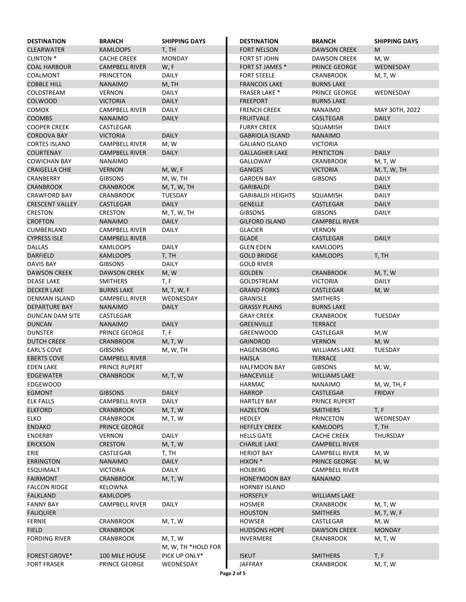| <b>DESTINATION</b>     | <b>BRANCH</b>         | <b>SHIPPING DAYS</b> | <b>DESTINATION</b>       | <b>BRANCH</b>         | <b>SHIPPING DAYS</b> |
|------------------------|-----------------------|----------------------|--------------------------|-----------------------|----------------------|
| <b>CLEARWATER</b>      | <b>KAMLOOPS</b>       | T, TH                | <b>FORT NELSON</b>       | <b>DAWSON CREEK</b>   | M                    |
| <b>CLINTON *</b>       | <b>CACHE CREEK</b>    | <b>MONDAY</b>        | <b>FORT ST JOHN</b>      | <b>DAWSON CREEK</b>   | M, W                 |
| <b>COAL HARBOUR</b>    | <b>CAMPBELL RIVER</b> | W, F                 | <b>FORT ST JAMES *</b>   | <b>PRINCE GEORGE</b>  | WEDNESDAY            |
| COALMONT               | <b>PRINCETON</b>      | <b>DAILY</b>         | <b>FORT STEELE</b>       | <b>CRANBROOK</b>      | M, T, W              |
| <b>COBBLE HILL</b>     | <b>NANAIMO</b>        | M, TH                | <b>FRANCOIS LAKE</b>     | <b>BURNS LAKE</b>     |                      |
| COLDSTREAM             | <b>VERNON</b>         | <b>DAILY</b>         | <b>FRASER LAKE *</b>     | PRINCE GEORGE         | WEDNESDAY            |
| <b>COLWOOD</b>         | <b>VICTORIA</b>       | <b>DAILY</b>         | <b>FREEPORT</b>          | <b>BURNS LAKE</b>     |                      |
| <b>COMOX</b>           | <b>CAMPBELL RIVER</b> | <b>DAILY</b>         | <b>FRENCH CREEK</b>      | <b>NANAIMO</b>        | MAY 30TH, 2022       |
| <b>COOMBS</b>          | <b>NANAIMO</b>        | <b>DAILY</b>         | <b>FRUITVALE</b>         | <b>CASLTEGAR</b>      | <b>DAILY</b>         |
| <b>COOPER CREEK</b>    | CASTLEGAR             |                      | <b>FURRY CREEK</b>       | SQUAMISH              | <b>DAILY</b>         |
| <b>CORDOVA BAY</b>     | <b>VICTORIA</b>       | <b>DAILY</b>         | <b>GABRIOLA ISLAND</b>   | <b>NANAIMO</b>        |                      |
| <b>CORTES ISLAND</b>   | <b>CAMPBELL RIVER</b> | M, W                 | <b>GALIANO ISLAND</b>    | <b>VICTORIA</b>       |                      |
| <b>COURTENAY</b>       | <b>CAMPBELL RIVER</b> | <b>DAILY</b>         | <b>GALLAGHER LAKE</b>    | <b>PENTICTON</b>      | <b>DAILY</b>         |
| <b>COWICHAN BAY</b>    | NANAIMO               |                      | GALLOWAY                 | <b>CRANBROOK</b>      | M, T, W              |
| <b>CRAIGELLA CHIE</b>  | <b>VERNON</b>         | M, W, F              | <b>GANGES</b>            | <b>VICTORIA</b>       | M, T, W, TH          |
| <b>CRANBERRY</b>       | <b>GIBSONS</b>        | M, W, TH             | <b>GARDEN BAY</b>        | <b>GIBSONS</b>        | <b>DAILY</b>         |
| <b>CRANBROOK</b>       | <b>CRANBROOK</b>      | M, T, W, TH          | <b>GARIBALDI</b>         |                       | <b>DAILY</b>         |
| <b>CRAWFORD BAY</b>    | CRANBROOK             | <b>TUESDAY</b>       | <b>GARIBALDI HEIGHTS</b> | SQUAMISH              | <b>DAILY</b>         |
| <b>CRESCENT VALLEY</b> | <b>CASTLEGAR</b>      | <b>DAILY</b>         | <b>GENELLE</b>           | CASTLEGAR             | <b>DAILY</b>         |
| <b>CRESTON</b>         | <b>CRESTON</b>        | M, T, W, TH          | <b>GIBSONS</b>           | <b>GIBSONS</b>        | <b>DAILY</b>         |
| <b>CROFTON</b>         | <b>NANAIMO</b>        | <b>DAILY</b>         | <b>GILFORD ISLAND</b>    | <b>CAMPBELL RIVER</b> |                      |
| <b>CUMBERLAND</b>      | <b>CAMPBELL RIVER</b> | <b>DAILY</b>         | <b>GLACIER</b>           | <b>VERNON</b>         |                      |
| <b>CYPRESS ISLE</b>    | <b>CAMPBELL RIVER</b> |                      | <b>GLADE</b>             | <b>CASTLEGAR</b>      | <b>DAILY</b>         |
| <b>DALLAS</b>          | <b>KAMLOOPS</b>       | <b>DAILY</b>         | <b>GLEN EDEN</b>         | <b>KAMLOOPS</b>       |                      |
| <b>DARFIELD</b>        | <b>KAMLOOPS</b>       | T, TH                | <b>GOLD BRIDGE</b>       | <b>KAMLOOPS</b>       | T, TH                |
| DAVIS BAY              | <b>GIBSONS</b>        | <b>DAILY</b>         | <b>GOLD RIVER</b>        |                       |                      |
| <b>DAWSON CREEK</b>    | <b>DAWSON CREEK</b>   | M, W                 | <b>GOLDEN</b>            | <b>CRANBROOK</b>      | M, T, W              |
| <b>DEASE LAKE</b>      | <b>SMITHERS</b>       | T, F                 | GOLDSTREAM               | <b>VICTORIA</b>       | <b>DAILY</b>         |
| <b>DECKER LAKE</b>     | <b>BURNS LAKE</b>     | M, T, W, F           | <b>GRAND FORKS</b>       | <b>CASTLEGAR</b>      | M, W                 |
| DENMAN ISLAND          | <b>CAMPBELL RIVER</b> | WEDNESDAY            | <b>GRANISLE</b>          | <b>SMITHERS</b>       |                      |
| <b>DEPARTURE BAY</b>   | <b>NANAIMO</b>        | <b>DAILY</b>         | <b>GRASSY PLAINS</b>     | <b>BURNS LAKE</b>     |                      |
| DUNCAN DAM SITE        | CASTLEGAR             |                      | <b>GRAY CREEK</b>        | <b>CRANBROOK</b>      | <b>TUESDAY</b>       |
| <b>DUNCAN</b>          | <b>NANAIMO</b>        | <b>DAILY</b>         | <b>GREENVILLE</b>        | <b>TERRACE</b>        |                      |
| <b>DUNSTER</b>         | PRINCE GEORGE         | T, F                 | <b>GREENWOOD</b>         | CASTLEGAR             | M,W                  |
| <b>DUTCH CREEK</b>     | <b>CRANBROOK</b>      | M, T, W              | <b>GRINDROD</b>          | <b>VERNON</b>         | M, W                 |
| <b>EARL'S COVE</b>     | <b>GIBSONS</b>        | M, W, TH             | <b>HAGENSBORG</b>        | <b>WILLIAMS LAKE</b>  | <b>TUESDAY</b>       |
| <b>EBERTS COVE</b>     | <b>CAMPBELL RIVER</b> |                      | <b>HAISLA</b>            | <b>TERRACE</b>        |                      |
| <b>EDEN LAKE</b>       | PRINCE RUPERT         |                      | <b>HALFMOON BAY</b>      | <b>GIBSONS</b>        | M, W,                |
| <b>EDGEWATER</b>       | CRANBROOK             | M, T, W              | <b>HANCEVILLE</b>        | <b>WILLIAMS LAKE</b>  |                      |
| EDGEWOOD               |                       |                      | HARMAC                   | NANAIMO               | M, W, TH, F          |
| <b>EGMONT</b>          | <b>GIBSONS</b>        | <b>DAILY</b>         | <b>HARROP</b>            | CASTLEGAR             | <b>FRIDAY</b>        |
| <b>ELK FALLS</b>       | <b>CAMPBELL RIVER</b> | DAILY                | <b>HARTLEY BAY</b>       | PRINCE RUPERT         |                      |
| <b>ELKFORD</b>         | <b>CRANBROOK</b>      | M, T, W              | <b>HAZELTON</b>          | <b>SMITHERS</b>       | T, F                 |
| <b>ELKO</b>            | CRANBROOK             | M, T, W              | <b>HEDLEY</b>            | PRINCETON             | WEDNESDAY            |
| <b>ENDAKO</b>          | <b>PRINCE GEORGE</b>  |                      | <b>HEFFLEY CREEK</b>     | <b>KAMLOOPS</b>       | T, TH                |
| <b>ENDERBY</b>         | <b>VERNON</b>         | <b>DAILY</b>         | <b>HELLS GATE</b>        | <b>CACHE CREEK</b>    | THURSDAY             |
| <b>ERICKSON</b>        | <b>CRESTON</b>        | M, T, W              | <b>CHARLIE LAKE</b>      | <b>CAMPBELL RIVER</b> |                      |
| ERIE                   | CASTLEGAR             | T, TH                | <b>HERIOT BAY</b>        | <b>CAMPBELL RIVER</b> | M, W                 |
| <b>ERRINGTON</b>       | <b>NANAIMO</b>        | <b>DAILY</b>         | HIXON *                  | PRINCE GEORGE         | M, W                 |
| <b>ESQUIMALT</b>       | <b>VICTORIA</b>       | <b>DAILY</b>         | <b>HOLBERG</b>           | <b>CAMPBELL RIVER</b> |                      |
| <b>FAIRMONT</b>        | <b>CRANBROOK</b>      | M, T, W              | <b>HONEYMOON BAY</b>     | <b>NANAIMO</b>        |                      |
| <b>FALCON RIDGE</b>    | KELOWNA               |                      | <b>HORNBY ISLAND</b>     |                       |                      |
| <b>FALKLAND</b>        | <b>KAMLOOPS</b>       |                      | <b>HORSEFLY</b>          | <b>WILLIAMS LAKE</b>  |                      |
| <b>FANNY BAY</b>       | <b>CAMPBELL RIVER</b> | <b>DAILY</b>         | <b>HOSMER</b>            | <b>CRANBROOK</b>      | M, T, W              |
| <b>FAUQUIER</b>        |                       |                      | <b>HOUSTON</b>           | <b>SMITHERS</b>       | M, T, W, F           |
| <b>FERNIE</b>          | <b>CRANBROOK</b>      | M, T, W              | <b>HOWSER</b>            | CASTLEGAR             | M, W                 |
| <b>FIELD</b>           | <b>CRANBROOK</b>      |                      | <b>HUDSONS HOPE</b>      | <b>DAWSON CREEK</b>   | <b>MONDAY</b>        |
| <b>FORDING RIVER</b>   | <b>CRANBROOK</b>      | M, T, W              | <b>INVERMERE</b>         | <b>CRANBROOK</b>      | M, T, W              |
|                        |                       | M, W, TH *HOLD FOR   |                          |                       |                      |
| <b>FOREST GROVE*</b>   | 100 MILE HOUSE        | PICK UP ONLY*        | <b>ISKUT</b>             | <b>SMITHERS</b>       | T, F                 |
| <b>FORT FRASER</b>     | PRINCE GEORGE         | WEDNESDAY            | <b>JAFFRAY</b>           | <b>CRANBROOK</b>      | M, T, W              |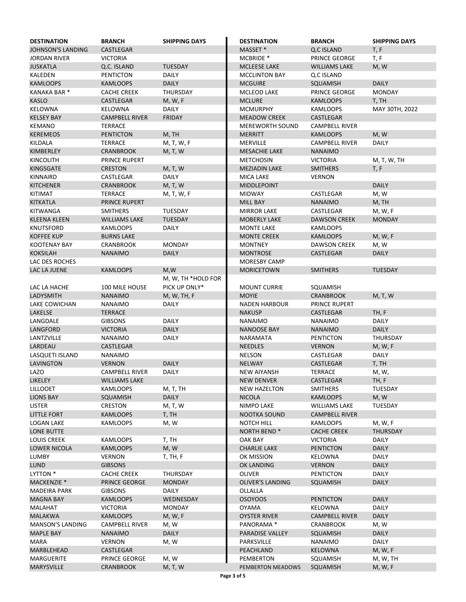| <b>JOHNSON'S LANDING</b><br><b>CASTLEGAR</b><br>MASSET <sup>*</sup><br>Q.C ISLAND<br>T, F<br>T, F<br><b>JORDAN RIVER</b><br><b>VICTORIA</b><br>MCBRIDE <sup>*</sup><br><b>PRINCE GEORGE</b><br><b>JUSKATLA</b><br>Q.C. ISLAND<br><b>TUESDAY</b><br><b>MCLEESE LAKE</b><br><b>WILLIAMS LAKE</b><br>M, W<br>KALEDEN<br>DAILY<br>PENTICTON<br><b>MCCLINTON BAY</b><br>Q.C ISLAND<br><b>DAILY</b><br><b>KAMLOOPS</b><br><b>DAILY</b><br><b>MCGUIRE</b><br><b>KAMLOOPS</b><br>SQUAMISH<br>KANAKA BAR <sup>*</sup><br><b>CACHE CREEK</b><br><b>THURSDAY</b><br><b>MCLEOD LAKE</b><br>PRINCE GEORGE<br><b>MONDAY</b><br><b>KASLO</b><br><b>CASTLEGAR</b><br>M, W, F<br><b>MCLURE</b><br><b>KAMLOOPS</b><br>T, TH<br><b>KELOWNA</b><br><b>MCMURPHY</b><br>KELOWNA<br>DAILY<br>KAMLOOPS<br>MAY 30TH, 2022<br><b>KELSEY BAY</b><br><b>CAMPBELL RIVER</b><br><b>FRIDAY</b><br><b>MEADOW CREEK</b><br><b>CASTLEGAR</b><br><b>KEMANO</b><br><b>TERRACE</b><br><b>MEREWORTH SOUND</b><br><b>CAMPBELL RIVER</b><br><b>KEREMEOS</b><br>M, TH<br>M, W<br><b>PENTICTON</b><br><b>MERRITT</b><br><b>KAMLOOPS</b><br>KILDALA<br><b>TERRACE</b><br>M, T, W, F<br><b>MERVILLE</b><br><b>CAMPBELL RIVER</b><br><b>DAILY</b><br>KIMBERLEY<br><b>CRANBROOK</b><br>M, T, W<br><b>MESACHIE LAKE</b><br><b>NANAIMO</b><br><b>KINCOLITH</b><br>PRINCE RUPERT<br><b>METCHOSIN</b><br><b>VICTORIA</b><br>M, T, W, TH<br><b>KINGSGATE</b><br><b>CRESTON</b><br><b>MEZIADIN LAKE</b><br>M, T, W<br><b>SMITHERS</b><br>T, F<br>KINNAIRD<br>CASTLEGAR<br><b>DAILY</b><br><b>MICA LAKE</b><br><b>VERNON</b><br><b>KITCHENER</b><br>M, T, W<br><b>DAILY</b><br><b>CRANBROOK</b><br><b>MIDDLEPOINT</b><br><b>KITIMAT</b><br><b>TERRACE</b><br>M, T, W, F<br><b>MIDWAY</b><br>CASTLEGAR<br>M, W<br><b>KITKATLA</b><br>PRINCE RUPERT<br><b>MILL BAY</b><br><b>NANAIMO</b><br>M, TH<br><b>KITWANGA</b><br><b>TUESDAY</b><br>M, W, F<br><b>SMITHERS</b><br><b>MIRROR LAKE</b><br><b>CASTLEGAR</b><br><b>TUESDAY</b><br><b>DAWSON CREEK</b><br><b>MONDAY</b><br><b>KLEENA KLEEN</b><br><b>WILLIAMS LAKE</b><br><b>MOBERLY LAKE</b><br>KNUTSFORD<br>KAMLOOPS<br>DAILY<br><b>MONTE LAKE</b><br>KAMLOOPS<br><b>KOFFEE KUP</b><br><b>BURNS LAKE</b><br><b>MONTE CREEK</b><br>M, W, F<br><b>KAMLOOPS</b><br><b>MONDAY</b><br><b>MONTNEY</b><br><b>DAWSON CREEK</b><br><b>KOOTENAY BAY</b><br><b>CRANBROOK</b><br>M, W<br><b>KOKSILAH</b><br><b>DAILY</b><br><b>DAILY</b><br><b>NANAIMO</b><br><b>MONTROSE</b><br><b>CASTLEGAR</b><br>LAC DES ROCHES<br>MORESBY CAMP<br>LAC LA JUENE<br>M,W<br>KAMLOOPS<br><b>MORICETOWN</b><br><b>SMITHERS</b><br><b>TUESDAY</b><br>M, W, TH *HOLD FOR<br>LAC LA HACHE<br>100 MILE HOUSE<br>PICK UP ONLY*<br><b>MOUNT CURRIE</b><br>SQUAMISH<br><b>LADYSMITH</b><br><b>NANAIMO</b><br><b>MOYIE</b><br>M, W, TH, F<br><b>CRANBROOK</b><br>M, T, W<br><b>LAKE COWICHAN</b><br>DAILY<br>PRINCE RUPERT<br><b>NANAIMO</b><br><b>NADEN HARBOUR</b><br><b>LAKELSE</b><br><b>NAKUSP</b><br>TH, F<br><b>TERRACE</b><br><b>CASTLEGAR</b><br>LANGDALE<br><b>GIBSONS</b><br>DAILY<br><b>NANAIMO</b><br><b>NANAIMO</b><br>DAILY<br>LANGFORD<br><b>VICTORIA</b><br><b>DAILY</b><br><b>NANOOSE BAY</b><br><b>DAILY</b><br><b>NANAIMO</b><br>LANTZVILLE<br><b>NANAIMO</b><br>DAILY<br><b>NARAMATA</b><br><b>PENTICTON</b><br>THURSDAY<br>LARDEAU<br><b>CASTLEGAR</b><br><b>NEEDLES</b><br><b>VERNON</b><br>M, W, F<br><b>NELSON</b><br><b>DAILY</b><br>LASQUETI ISLAND<br><b>NANAIMO</b><br>CASTLEGAR<br><b>LAVINGTON</b><br><b>DAILY</b><br><b>NELWAY</b><br>T, TH<br><b>VERNON</b><br><b>CASTLEGAR</b><br>LAZO<br>DAILY<br><b>TERRACE</b><br>M, W,<br><b>CAMPBELL RIVER</b><br><b>NEW AIYANSH</b><br>TH, F<br><b>LIKELEY</b><br><b>WILLIAMS LAKE</b><br><b>NEW DENVER</b><br><b>CASTLEGAR</b><br><b>TUESDAY</b><br><b>LILLOOET</b><br><b>KAMLOOPS</b><br>M, T, TH<br><b>NEW HAZELTON</b><br>SMITHERS<br><b>LIONS BAY</b><br><b>DAILY</b><br><b>NICOLA</b><br>M, W<br>SQUAMISH<br>KAMLOOPS<br>LISTER<br>CRESTON<br>M, T, W<br>NIMPO LAKE<br><b>WILLIAMS LAKE</b><br>TUESDAY<br><b>LITTLE FORT</b><br>T, TH<br>NOOTKA SOUND<br>KAMLOOPS<br><b>CAMPBELL RIVER</b><br>M, W, F<br>LOGAN LAKE<br>KAMLOOPS<br>M, W<br>NOTCH HILL<br><b>KAMLOOPS</b><br><b>LONE BUTTE</b><br>NORTH BEND <sup>*</sup><br><b>CACHE CREEK</b><br><b>THURSDAY</b><br><b>LOUIS CREEK</b><br><b>KAMLOOPS</b><br>OAK BAY<br><b>VICTORIA</b><br><b>DAILY</b><br>T, TH<br>LOWER NICOLA<br><b>KAMLOOPS</b><br>M, W<br><b>CHARLIE LAKE</b><br><b>PENTICTON</b><br><b>DAILY</b><br>LUMBY<br>OK MISSION<br>KELOWNA<br><b>DAILY</b><br>VERNON<br>T, TH, F<br><b>DAILY</b><br>LUND<br><b>GIBSONS</b><br>OK LANDING<br><b>VERNON</b><br>LYTTON *<br>THURSDAY<br>OLIVER<br><b>DAILY</b><br><b>CACHE CREEK</b><br><b>PENTICTON</b><br>PRINCE GEORGE<br><b>OLIVER'S LANDING</b><br><b>DAILY</b><br>MACKENZIE <sup>*</sup><br>MONDAY<br>SQUAMISH<br><b>GIBSONS</b><br>DAILY<br>OLLALLA<br><b>MADEIRA PARK</b><br>WEDNESDAY<br><b>OSOYOOS</b><br><b>PENTICTON</b><br><b>DAILY</b><br><b>MAGNA BAY</b><br>KAMLOOPS<br>MALAHAT<br><b>VICTORIA</b><br><b>MONDAY</b><br>OYAMA<br>KELOWNA<br>DAILY<br><b>MALAKWA</b><br><b>KAMLOOPS</b><br><b>OYSTER RIVER</b><br><b>CAMPBELL RIVER</b><br><b>DAILY</b><br>M, W, F<br><b>CAMPBELL RIVER</b><br>PANORAMA <sup>*</sup><br><b>CRANBROOK</b><br><b>MANSON'S LANDING</b><br>M, W<br>M, W<br><b>DAILY</b><br><b>MAPLE BAY</b><br>NANAIMO<br>DAILY<br>PARADISE VALLEY<br>SQUAMISH<br>MARA<br>VERNON<br>M, W<br>PARKSVILLE<br>NANAIMO<br>DAILY<br><b>KELOWNA</b><br>M, W, F<br>MARBLEHEAD<br>CASTLEGAR<br>PEACHLAND<br>MARGUERITE<br>PRINCE GEORGE<br>M, W<br>PEMBERTON<br>SQUAMISH<br>M, W, TH | <b>DESTINATION</b> | <b>BRANCH</b> | <b>SHIPPING DAYS</b> | <b>DESTINATION</b> | <b>BRANCH</b> | <b>SHIPPING DAYS</b> |
|---------------------------------------------------------------------------------------------------------------------------------------------------------------------------------------------------------------------------------------------------------------------------------------------------------------------------------------------------------------------------------------------------------------------------------------------------------------------------------------------------------------------------------------------------------------------------------------------------------------------------------------------------------------------------------------------------------------------------------------------------------------------------------------------------------------------------------------------------------------------------------------------------------------------------------------------------------------------------------------------------------------------------------------------------------------------------------------------------------------------------------------------------------------------------------------------------------------------------------------------------------------------------------------------------------------------------------------------------------------------------------------------------------------------------------------------------------------------------------------------------------------------------------------------------------------------------------------------------------------------------------------------------------------------------------------------------------------------------------------------------------------------------------------------------------------------------------------------------------------------------------------------------------------------------------------------------------------------------------------------------------------------------------------------------------------------------------------------------------------------------------------------------------------------------------------------------------------------------------------------------------------------------------------------------------------------------------------------------------------------------------------------------------------------------------------------------------------------------------------------------------------------------------------------------------------------------------------------------------------------------------------------------------------------------------------------------------------------------------------------------------------------------------------------------------------------------------------------------------------------------------------------------------------------------------------------------------------------------------------------------------------------------------------------------------------------------------------------------------------------------------------------------------------------------------------------------------------------------------------------------------------------------------------------------------------------------------------------------------------------------------------------------------------------------------------------------------------------------------------------------------------------------------------------------------------------------------------------------------------------------------------------------------------------------------------------------------------------------------------------------------------------------------------------------------------------------------------------------------------------------------------------------------------------------------------------------------------------------------------------------------------------------------------------------------------------------------------------------------------------------------------------------------------------------------------------------------------------------------------------------------------------------------------------------------------------------------------------------------------------------------------------------------------------------------------------------------------------------------------------------------------------------------------------------------------------------------------------------------------------------------------------------------------------------------------------------------------------------------------------------------------------------------------------------------------------------------------------------------------------------------------------------------------------------------------------------------------------------------------------------------------------------------------------------------------------------------------------------------------------------------------------------------------------------------------------------------------------------------------------------------------------------------------------------------------------------------------------------------------------------------------------------------------------------------------------------------------------------------------------------------------------------------------------------------------------------------------------------------------------------------------------------------|--------------------|---------------|----------------------|--------------------|---------------|----------------------|
|                                                                                                                                                                                                                                                                                                                                                                                                                                                                                                                                                                                                                                                                                                                                                                                                                                                                                                                                                                                                                                                                                                                                                                                                                                                                                                                                                                                                                                                                                                                                                                                                                                                                                                                                                                                                                                                                                                                                                                                                                                                                                                                                                                                                                                                                                                                                                                                                                                                                                                                                                                                                                                                                                                                                                                                                                                                                                                                                                                                                                                                                                                                                                                                                                                                                                                                                                                                                                                                                                                                                                                                                                                                                                                                                                                                                                                                                                                                                                                                                                                                                                                                                                                                                                                                                                                                                                                                                                                                                                                                                                                                                                                                                                                                                                                                                                                                                                                                                                                                                                                                                                                                                                                                                                                                                                                                                                                                                                                                                                                                                                                                                                                                         |                    |               |                      |                    |               |                      |
|                                                                                                                                                                                                                                                                                                                                                                                                                                                                                                                                                                                                                                                                                                                                                                                                                                                                                                                                                                                                                                                                                                                                                                                                                                                                                                                                                                                                                                                                                                                                                                                                                                                                                                                                                                                                                                                                                                                                                                                                                                                                                                                                                                                                                                                                                                                                                                                                                                                                                                                                                                                                                                                                                                                                                                                                                                                                                                                                                                                                                                                                                                                                                                                                                                                                                                                                                                                                                                                                                                                                                                                                                                                                                                                                                                                                                                                                                                                                                                                                                                                                                                                                                                                                                                                                                                                                                                                                                                                                                                                                                                                                                                                                                                                                                                                                                                                                                                                                                                                                                                                                                                                                                                                                                                                                                                                                                                                                                                                                                                                                                                                                                                                         |                    |               |                      |                    |               |                      |
|                                                                                                                                                                                                                                                                                                                                                                                                                                                                                                                                                                                                                                                                                                                                                                                                                                                                                                                                                                                                                                                                                                                                                                                                                                                                                                                                                                                                                                                                                                                                                                                                                                                                                                                                                                                                                                                                                                                                                                                                                                                                                                                                                                                                                                                                                                                                                                                                                                                                                                                                                                                                                                                                                                                                                                                                                                                                                                                                                                                                                                                                                                                                                                                                                                                                                                                                                                                                                                                                                                                                                                                                                                                                                                                                                                                                                                                                                                                                                                                                                                                                                                                                                                                                                                                                                                                                                                                                                                                                                                                                                                                                                                                                                                                                                                                                                                                                                                                                                                                                                                                                                                                                                                                                                                                                                                                                                                                                                                                                                                                                                                                                                                                         |                    |               |                      |                    |               |                      |
|                                                                                                                                                                                                                                                                                                                                                                                                                                                                                                                                                                                                                                                                                                                                                                                                                                                                                                                                                                                                                                                                                                                                                                                                                                                                                                                                                                                                                                                                                                                                                                                                                                                                                                                                                                                                                                                                                                                                                                                                                                                                                                                                                                                                                                                                                                                                                                                                                                                                                                                                                                                                                                                                                                                                                                                                                                                                                                                                                                                                                                                                                                                                                                                                                                                                                                                                                                                                                                                                                                                                                                                                                                                                                                                                                                                                                                                                                                                                                                                                                                                                                                                                                                                                                                                                                                                                                                                                                                                                                                                                                                                                                                                                                                                                                                                                                                                                                                                                                                                                                                                                                                                                                                                                                                                                                                                                                                                                                                                                                                                                                                                                                                                         |                    |               |                      |                    |               |                      |
|                                                                                                                                                                                                                                                                                                                                                                                                                                                                                                                                                                                                                                                                                                                                                                                                                                                                                                                                                                                                                                                                                                                                                                                                                                                                                                                                                                                                                                                                                                                                                                                                                                                                                                                                                                                                                                                                                                                                                                                                                                                                                                                                                                                                                                                                                                                                                                                                                                                                                                                                                                                                                                                                                                                                                                                                                                                                                                                                                                                                                                                                                                                                                                                                                                                                                                                                                                                                                                                                                                                                                                                                                                                                                                                                                                                                                                                                                                                                                                                                                                                                                                                                                                                                                                                                                                                                                                                                                                                                                                                                                                                                                                                                                                                                                                                                                                                                                                                                                                                                                                                                                                                                                                                                                                                                                                                                                                                                                                                                                                                                                                                                                                                         |                    |               |                      |                    |               |                      |
|                                                                                                                                                                                                                                                                                                                                                                                                                                                                                                                                                                                                                                                                                                                                                                                                                                                                                                                                                                                                                                                                                                                                                                                                                                                                                                                                                                                                                                                                                                                                                                                                                                                                                                                                                                                                                                                                                                                                                                                                                                                                                                                                                                                                                                                                                                                                                                                                                                                                                                                                                                                                                                                                                                                                                                                                                                                                                                                                                                                                                                                                                                                                                                                                                                                                                                                                                                                                                                                                                                                                                                                                                                                                                                                                                                                                                                                                                                                                                                                                                                                                                                                                                                                                                                                                                                                                                                                                                                                                                                                                                                                                                                                                                                                                                                                                                                                                                                                                                                                                                                                                                                                                                                                                                                                                                                                                                                                                                                                                                                                                                                                                                                                         |                    |               |                      |                    |               |                      |
|                                                                                                                                                                                                                                                                                                                                                                                                                                                                                                                                                                                                                                                                                                                                                                                                                                                                                                                                                                                                                                                                                                                                                                                                                                                                                                                                                                                                                                                                                                                                                                                                                                                                                                                                                                                                                                                                                                                                                                                                                                                                                                                                                                                                                                                                                                                                                                                                                                                                                                                                                                                                                                                                                                                                                                                                                                                                                                                                                                                                                                                                                                                                                                                                                                                                                                                                                                                                                                                                                                                                                                                                                                                                                                                                                                                                                                                                                                                                                                                                                                                                                                                                                                                                                                                                                                                                                                                                                                                                                                                                                                                                                                                                                                                                                                                                                                                                                                                                                                                                                                                                                                                                                                                                                                                                                                                                                                                                                                                                                                                                                                                                                                                         |                    |               |                      |                    |               |                      |
|                                                                                                                                                                                                                                                                                                                                                                                                                                                                                                                                                                                                                                                                                                                                                                                                                                                                                                                                                                                                                                                                                                                                                                                                                                                                                                                                                                                                                                                                                                                                                                                                                                                                                                                                                                                                                                                                                                                                                                                                                                                                                                                                                                                                                                                                                                                                                                                                                                                                                                                                                                                                                                                                                                                                                                                                                                                                                                                                                                                                                                                                                                                                                                                                                                                                                                                                                                                                                                                                                                                                                                                                                                                                                                                                                                                                                                                                                                                                                                                                                                                                                                                                                                                                                                                                                                                                                                                                                                                                                                                                                                                                                                                                                                                                                                                                                                                                                                                                                                                                                                                                                                                                                                                                                                                                                                                                                                                                                                                                                                                                                                                                                                                         |                    |               |                      |                    |               |                      |
|                                                                                                                                                                                                                                                                                                                                                                                                                                                                                                                                                                                                                                                                                                                                                                                                                                                                                                                                                                                                                                                                                                                                                                                                                                                                                                                                                                                                                                                                                                                                                                                                                                                                                                                                                                                                                                                                                                                                                                                                                                                                                                                                                                                                                                                                                                                                                                                                                                                                                                                                                                                                                                                                                                                                                                                                                                                                                                                                                                                                                                                                                                                                                                                                                                                                                                                                                                                                                                                                                                                                                                                                                                                                                                                                                                                                                                                                                                                                                                                                                                                                                                                                                                                                                                                                                                                                                                                                                                                                                                                                                                                                                                                                                                                                                                                                                                                                                                                                                                                                                                                                                                                                                                                                                                                                                                                                                                                                                                                                                                                                                                                                                                                         |                    |               |                      |                    |               |                      |
|                                                                                                                                                                                                                                                                                                                                                                                                                                                                                                                                                                                                                                                                                                                                                                                                                                                                                                                                                                                                                                                                                                                                                                                                                                                                                                                                                                                                                                                                                                                                                                                                                                                                                                                                                                                                                                                                                                                                                                                                                                                                                                                                                                                                                                                                                                                                                                                                                                                                                                                                                                                                                                                                                                                                                                                                                                                                                                                                                                                                                                                                                                                                                                                                                                                                                                                                                                                                                                                                                                                                                                                                                                                                                                                                                                                                                                                                                                                                                                                                                                                                                                                                                                                                                                                                                                                                                                                                                                                                                                                                                                                                                                                                                                                                                                                                                                                                                                                                                                                                                                                                                                                                                                                                                                                                                                                                                                                                                                                                                                                                                                                                                                                         |                    |               |                      |                    |               |                      |
|                                                                                                                                                                                                                                                                                                                                                                                                                                                                                                                                                                                                                                                                                                                                                                                                                                                                                                                                                                                                                                                                                                                                                                                                                                                                                                                                                                                                                                                                                                                                                                                                                                                                                                                                                                                                                                                                                                                                                                                                                                                                                                                                                                                                                                                                                                                                                                                                                                                                                                                                                                                                                                                                                                                                                                                                                                                                                                                                                                                                                                                                                                                                                                                                                                                                                                                                                                                                                                                                                                                                                                                                                                                                                                                                                                                                                                                                                                                                                                                                                                                                                                                                                                                                                                                                                                                                                                                                                                                                                                                                                                                                                                                                                                                                                                                                                                                                                                                                                                                                                                                                                                                                                                                                                                                                                                                                                                                                                                                                                                                                                                                                                                                         |                    |               |                      |                    |               |                      |
|                                                                                                                                                                                                                                                                                                                                                                                                                                                                                                                                                                                                                                                                                                                                                                                                                                                                                                                                                                                                                                                                                                                                                                                                                                                                                                                                                                                                                                                                                                                                                                                                                                                                                                                                                                                                                                                                                                                                                                                                                                                                                                                                                                                                                                                                                                                                                                                                                                                                                                                                                                                                                                                                                                                                                                                                                                                                                                                                                                                                                                                                                                                                                                                                                                                                                                                                                                                                                                                                                                                                                                                                                                                                                                                                                                                                                                                                                                                                                                                                                                                                                                                                                                                                                                                                                                                                                                                                                                                                                                                                                                                                                                                                                                                                                                                                                                                                                                                                                                                                                                                                                                                                                                                                                                                                                                                                                                                                                                                                                                                                                                                                                                                         |                    |               |                      |                    |               |                      |
|                                                                                                                                                                                                                                                                                                                                                                                                                                                                                                                                                                                                                                                                                                                                                                                                                                                                                                                                                                                                                                                                                                                                                                                                                                                                                                                                                                                                                                                                                                                                                                                                                                                                                                                                                                                                                                                                                                                                                                                                                                                                                                                                                                                                                                                                                                                                                                                                                                                                                                                                                                                                                                                                                                                                                                                                                                                                                                                                                                                                                                                                                                                                                                                                                                                                                                                                                                                                                                                                                                                                                                                                                                                                                                                                                                                                                                                                                                                                                                                                                                                                                                                                                                                                                                                                                                                                                                                                                                                                                                                                                                                                                                                                                                                                                                                                                                                                                                                                                                                                                                                                                                                                                                                                                                                                                                                                                                                                                                                                                                                                                                                                                                                         |                    |               |                      |                    |               |                      |
|                                                                                                                                                                                                                                                                                                                                                                                                                                                                                                                                                                                                                                                                                                                                                                                                                                                                                                                                                                                                                                                                                                                                                                                                                                                                                                                                                                                                                                                                                                                                                                                                                                                                                                                                                                                                                                                                                                                                                                                                                                                                                                                                                                                                                                                                                                                                                                                                                                                                                                                                                                                                                                                                                                                                                                                                                                                                                                                                                                                                                                                                                                                                                                                                                                                                                                                                                                                                                                                                                                                                                                                                                                                                                                                                                                                                                                                                                                                                                                                                                                                                                                                                                                                                                                                                                                                                                                                                                                                                                                                                                                                                                                                                                                                                                                                                                                                                                                                                                                                                                                                                                                                                                                                                                                                                                                                                                                                                                                                                                                                                                                                                                                                         |                    |               |                      |                    |               |                      |
|                                                                                                                                                                                                                                                                                                                                                                                                                                                                                                                                                                                                                                                                                                                                                                                                                                                                                                                                                                                                                                                                                                                                                                                                                                                                                                                                                                                                                                                                                                                                                                                                                                                                                                                                                                                                                                                                                                                                                                                                                                                                                                                                                                                                                                                                                                                                                                                                                                                                                                                                                                                                                                                                                                                                                                                                                                                                                                                                                                                                                                                                                                                                                                                                                                                                                                                                                                                                                                                                                                                                                                                                                                                                                                                                                                                                                                                                                                                                                                                                                                                                                                                                                                                                                                                                                                                                                                                                                                                                                                                                                                                                                                                                                                                                                                                                                                                                                                                                                                                                                                                                                                                                                                                                                                                                                                                                                                                                                                                                                                                                                                                                                                                         |                    |               |                      |                    |               |                      |
|                                                                                                                                                                                                                                                                                                                                                                                                                                                                                                                                                                                                                                                                                                                                                                                                                                                                                                                                                                                                                                                                                                                                                                                                                                                                                                                                                                                                                                                                                                                                                                                                                                                                                                                                                                                                                                                                                                                                                                                                                                                                                                                                                                                                                                                                                                                                                                                                                                                                                                                                                                                                                                                                                                                                                                                                                                                                                                                                                                                                                                                                                                                                                                                                                                                                                                                                                                                                                                                                                                                                                                                                                                                                                                                                                                                                                                                                                                                                                                                                                                                                                                                                                                                                                                                                                                                                                                                                                                                                                                                                                                                                                                                                                                                                                                                                                                                                                                                                                                                                                                                                                                                                                                                                                                                                                                                                                                                                                                                                                                                                                                                                                                                         |                    |               |                      |                    |               |                      |
|                                                                                                                                                                                                                                                                                                                                                                                                                                                                                                                                                                                                                                                                                                                                                                                                                                                                                                                                                                                                                                                                                                                                                                                                                                                                                                                                                                                                                                                                                                                                                                                                                                                                                                                                                                                                                                                                                                                                                                                                                                                                                                                                                                                                                                                                                                                                                                                                                                                                                                                                                                                                                                                                                                                                                                                                                                                                                                                                                                                                                                                                                                                                                                                                                                                                                                                                                                                                                                                                                                                                                                                                                                                                                                                                                                                                                                                                                                                                                                                                                                                                                                                                                                                                                                                                                                                                                                                                                                                                                                                                                                                                                                                                                                                                                                                                                                                                                                                                                                                                                                                                                                                                                                                                                                                                                                                                                                                                                                                                                                                                                                                                                                                         |                    |               |                      |                    |               |                      |
|                                                                                                                                                                                                                                                                                                                                                                                                                                                                                                                                                                                                                                                                                                                                                                                                                                                                                                                                                                                                                                                                                                                                                                                                                                                                                                                                                                                                                                                                                                                                                                                                                                                                                                                                                                                                                                                                                                                                                                                                                                                                                                                                                                                                                                                                                                                                                                                                                                                                                                                                                                                                                                                                                                                                                                                                                                                                                                                                                                                                                                                                                                                                                                                                                                                                                                                                                                                                                                                                                                                                                                                                                                                                                                                                                                                                                                                                                                                                                                                                                                                                                                                                                                                                                                                                                                                                                                                                                                                                                                                                                                                                                                                                                                                                                                                                                                                                                                                                                                                                                                                                                                                                                                                                                                                                                                                                                                                                                                                                                                                                                                                                                                                         |                    |               |                      |                    |               |                      |
|                                                                                                                                                                                                                                                                                                                                                                                                                                                                                                                                                                                                                                                                                                                                                                                                                                                                                                                                                                                                                                                                                                                                                                                                                                                                                                                                                                                                                                                                                                                                                                                                                                                                                                                                                                                                                                                                                                                                                                                                                                                                                                                                                                                                                                                                                                                                                                                                                                                                                                                                                                                                                                                                                                                                                                                                                                                                                                                                                                                                                                                                                                                                                                                                                                                                                                                                                                                                                                                                                                                                                                                                                                                                                                                                                                                                                                                                                                                                                                                                                                                                                                                                                                                                                                                                                                                                                                                                                                                                                                                                                                                                                                                                                                                                                                                                                                                                                                                                                                                                                                                                                                                                                                                                                                                                                                                                                                                                                                                                                                                                                                                                                                                         |                    |               |                      |                    |               |                      |
|                                                                                                                                                                                                                                                                                                                                                                                                                                                                                                                                                                                                                                                                                                                                                                                                                                                                                                                                                                                                                                                                                                                                                                                                                                                                                                                                                                                                                                                                                                                                                                                                                                                                                                                                                                                                                                                                                                                                                                                                                                                                                                                                                                                                                                                                                                                                                                                                                                                                                                                                                                                                                                                                                                                                                                                                                                                                                                                                                                                                                                                                                                                                                                                                                                                                                                                                                                                                                                                                                                                                                                                                                                                                                                                                                                                                                                                                                                                                                                                                                                                                                                                                                                                                                                                                                                                                                                                                                                                                                                                                                                                                                                                                                                                                                                                                                                                                                                                                                                                                                                                                                                                                                                                                                                                                                                                                                                                                                                                                                                                                                                                                                                                         |                    |               |                      |                    |               |                      |
|                                                                                                                                                                                                                                                                                                                                                                                                                                                                                                                                                                                                                                                                                                                                                                                                                                                                                                                                                                                                                                                                                                                                                                                                                                                                                                                                                                                                                                                                                                                                                                                                                                                                                                                                                                                                                                                                                                                                                                                                                                                                                                                                                                                                                                                                                                                                                                                                                                                                                                                                                                                                                                                                                                                                                                                                                                                                                                                                                                                                                                                                                                                                                                                                                                                                                                                                                                                                                                                                                                                                                                                                                                                                                                                                                                                                                                                                                                                                                                                                                                                                                                                                                                                                                                                                                                                                                                                                                                                                                                                                                                                                                                                                                                                                                                                                                                                                                                                                                                                                                                                                                                                                                                                                                                                                                                                                                                                                                                                                                                                                                                                                                                                         |                    |               |                      |                    |               |                      |
|                                                                                                                                                                                                                                                                                                                                                                                                                                                                                                                                                                                                                                                                                                                                                                                                                                                                                                                                                                                                                                                                                                                                                                                                                                                                                                                                                                                                                                                                                                                                                                                                                                                                                                                                                                                                                                                                                                                                                                                                                                                                                                                                                                                                                                                                                                                                                                                                                                                                                                                                                                                                                                                                                                                                                                                                                                                                                                                                                                                                                                                                                                                                                                                                                                                                                                                                                                                                                                                                                                                                                                                                                                                                                                                                                                                                                                                                                                                                                                                                                                                                                                                                                                                                                                                                                                                                                                                                                                                                                                                                                                                                                                                                                                                                                                                                                                                                                                                                                                                                                                                                                                                                                                                                                                                                                                                                                                                                                                                                                                                                                                                                                                                         |                    |               |                      |                    |               |                      |
|                                                                                                                                                                                                                                                                                                                                                                                                                                                                                                                                                                                                                                                                                                                                                                                                                                                                                                                                                                                                                                                                                                                                                                                                                                                                                                                                                                                                                                                                                                                                                                                                                                                                                                                                                                                                                                                                                                                                                                                                                                                                                                                                                                                                                                                                                                                                                                                                                                                                                                                                                                                                                                                                                                                                                                                                                                                                                                                                                                                                                                                                                                                                                                                                                                                                                                                                                                                                                                                                                                                                                                                                                                                                                                                                                                                                                                                                                                                                                                                                                                                                                                                                                                                                                                                                                                                                                                                                                                                                                                                                                                                                                                                                                                                                                                                                                                                                                                                                                                                                                                                                                                                                                                                                                                                                                                                                                                                                                                                                                                                                                                                                                                                         |                    |               |                      |                    |               |                      |
|                                                                                                                                                                                                                                                                                                                                                                                                                                                                                                                                                                                                                                                                                                                                                                                                                                                                                                                                                                                                                                                                                                                                                                                                                                                                                                                                                                                                                                                                                                                                                                                                                                                                                                                                                                                                                                                                                                                                                                                                                                                                                                                                                                                                                                                                                                                                                                                                                                                                                                                                                                                                                                                                                                                                                                                                                                                                                                                                                                                                                                                                                                                                                                                                                                                                                                                                                                                                                                                                                                                                                                                                                                                                                                                                                                                                                                                                                                                                                                                                                                                                                                                                                                                                                                                                                                                                                                                                                                                                                                                                                                                                                                                                                                                                                                                                                                                                                                                                                                                                                                                                                                                                                                                                                                                                                                                                                                                                                                                                                                                                                                                                                                                         |                    |               |                      |                    |               |                      |
|                                                                                                                                                                                                                                                                                                                                                                                                                                                                                                                                                                                                                                                                                                                                                                                                                                                                                                                                                                                                                                                                                                                                                                                                                                                                                                                                                                                                                                                                                                                                                                                                                                                                                                                                                                                                                                                                                                                                                                                                                                                                                                                                                                                                                                                                                                                                                                                                                                                                                                                                                                                                                                                                                                                                                                                                                                                                                                                                                                                                                                                                                                                                                                                                                                                                                                                                                                                                                                                                                                                                                                                                                                                                                                                                                                                                                                                                                                                                                                                                                                                                                                                                                                                                                                                                                                                                                                                                                                                                                                                                                                                                                                                                                                                                                                                                                                                                                                                                                                                                                                                                                                                                                                                                                                                                                                                                                                                                                                                                                                                                                                                                                                                         |                    |               |                      |                    |               |                      |
|                                                                                                                                                                                                                                                                                                                                                                                                                                                                                                                                                                                                                                                                                                                                                                                                                                                                                                                                                                                                                                                                                                                                                                                                                                                                                                                                                                                                                                                                                                                                                                                                                                                                                                                                                                                                                                                                                                                                                                                                                                                                                                                                                                                                                                                                                                                                                                                                                                                                                                                                                                                                                                                                                                                                                                                                                                                                                                                                                                                                                                                                                                                                                                                                                                                                                                                                                                                                                                                                                                                                                                                                                                                                                                                                                                                                                                                                                                                                                                                                                                                                                                                                                                                                                                                                                                                                                                                                                                                                                                                                                                                                                                                                                                                                                                                                                                                                                                                                                                                                                                                                                                                                                                                                                                                                                                                                                                                                                                                                                                                                                                                                                                                         |                    |               |                      |                    |               |                      |
|                                                                                                                                                                                                                                                                                                                                                                                                                                                                                                                                                                                                                                                                                                                                                                                                                                                                                                                                                                                                                                                                                                                                                                                                                                                                                                                                                                                                                                                                                                                                                                                                                                                                                                                                                                                                                                                                                                                                                                                                                                                                                                                                                                                                                                                                                                                                                                                                                                                                                                                                                                                                                                                                                                                                                                                                                                                                                                                                                                                                                                                                                                                                                                                                                                                                                                                                                                                                                                                                                                                                                                                                                                                                                                                                                                                                                                                                                                                                                                                                                                                                                                                                                                                                                                                                                                                                                                                                                                                                                                                                                                                                                                                                                                                                                                                                                                                                                                                                                                                                                                                                                                                                                                                                                                                                                                                                                                                                                                                                                                                                                                                                                                                         |                    |               |                      |                    |               |                      |
|                                                                                                                                                                                                                                                                                                                                                                                                                                                                                                                                                                                                                                                                                                                                                                                                                                                                                                                                                                                                                                                                                                                                                                                                                                                                                                                                                                                                                                                                                                                                                                                                                                                                                                                                                                                                                                                                                                                                                                                                                                                                                                                                                                                                                                                                                                                                                                                                                                                                                                                                                                                                                                                                                                                                                                                                                                                                                                                                                                                                                                                                                                                                                                                                                                                                                                                                                                                                                                                                                                                                                                                                                                                                                                                                                                                                                                                                                                                                                                                                                                                                                                                                                                                                                                                                                                                                                                                                                                                                                                                                                                                                                                                                                                                                                                                                                                                                                                                                                                                                                                                                                                                                                                                                                                                                                                                                                                                                                                                                                                                                                                                                                                                         |                    |               |                      |                    |               |                      |
|                                                                                                                                                                                                                                                                                                                                                                                                                                                                                                                                                                                                                                                                                                                                                                                                                                                                                                                                                                                                                                                                                                                                                                                                                                                                                                                                                                                                                                                                                                                                                                                                                                                                                                                                                                                                                                                                                                                                                                                                                                                                                                                                                                                                                                                                                                                                                                                                                                                                                                                                                                                                                                                                                                                                                                                                                                                                                                                                                                                                                                                                                                                                                                                                                                                                                                                                                                                                                                                                                                                                                                                                                                                                                                                                                                                                                                                                                                                                                                                                                                                                                                                                                                                                                                                                                                                                                                                                                                                                                                                                                                                                                                                                                                                                                                                                                                                                                                                                                                                                                                                                                                                                                                                                                                                                                                                                                                                                                                                                                                                                                                                                                                                         |                    |               |                      |                    |               |                      |
|                                                                                                                                                                                                                                                                                                                                                                                                                                                                                                                                                                                                                                                                                                                                                                                                                                                                                                                                                                                                                                                                                                                                                                                                                                                                                                                                                                                                                                                                                                                                                                                                                                                                                                                                                                                                                                                                                                                                                                                                                                                                                                                                                                                                                                                                                                                                                                                                                                                                                                                                                                                                                                                                                                                                                                                                                                                                                                                                                                                                                                                                                                                                                                                                                                                                                                                                                                                                                                                                                                                                                                                                                                                                                                                                                                                                                                                                                                                                                                                                                                                                                                                                                                                                                                                                                                                                                                                                                                                                                                                                                                                                                                                                                                                                                                                                                                                                                                                                                                                                                                                                                                                                                                                                                                                                                                                                                                                                                                                                                                                                                                                                                                                         |                    |               |                      |                    |               |                      |
|                                                                                                                                                                                                                                                                                                                                                                                                                                                                                                                                                                                                                                                                                                                                                                                                                                                                                                                                                                                                                                                                                                                                                                                                                                                                                                                                                                                                                                                                                                                                                                                                                                                                                                                                                                                                                                                                                                                                                                                                                                                                                                                                                                                                                                                                                                                                                                                                                                                                                                                                                                                                                                                                                                                                                                                                                                                                                                                                                                                                                                                                                                                                                                                                                                                                                                                                                                                                                                                                                                                                                                                                                                                                                                                                                                                                                                                                                                                                                                                                                                                                                                                                                                                                                                                                                                                                                                                                                                                                                                                                                                                                                                                                                                                                                                                                                                                                                                                                                                                                                                                                                                                                                                                                                                                                                                                                                                                                                                                                                                                                                                                                                                                         |                    |               |                      |                    |               |                      |
|                                                                                                                                                                                                                                                                                                                                                                                                                                                                                                                                                                                                                                                                                                                                                                                                                                                                                                                                                                                                                                                                                                                                                                                                                                                                                                                                                                                                                                                                                                                                                                                                                                                                                                                                                                                                                                                                                                                                                                                                                                                                                                                                                                                                                                                                                                                                                                                                                                                                                                                                                                                                                                                                                                                                                                                                                                                                                                                                                                                                                                                                                                                                                                                                                                                                                                                                                                                                                                                                                                                                                                                                                                                                                                                                                                                                                                                                                                                                                                                                                                                                                                                                                                                                                                                                                                                                                                                                                                                                                                                                                                                                                                                                                                                                                                                                                                                                                                                                                                                                                                                                                                                                                                                                                                                                                                                                                                                                                                                                                                                                                                                                                                                         |                    |               |                      |                    |               |                      |
|                                                                                                                                                                                                                                                                                                                                                                                                                                                                                                                                                                                                                                                                                                                                                                                                                                                                                                                                                                                                                                                                                                                                                                                                                                                                                                                                                                                                                                                                                                                                                                                                                                                                                                                                                                                                                                                                                                                                                                                                                                                                                                                                                                                                                                                                                                                                                                                                                                                                                                                                                                                                                                                                                                                                                                                                                                                                                                                                                                                                                                                                                                                                                                                                                                                                                                                                                                                                                                                                                                                                                                                                                                                                                                                                                                                                                                                                                                                                                                                                                                                                                                                                                                                                                                                                                                                                                                                                                                                                                                                                                                                                                                                                                                                                                                                                                                                                                                                                                                                                                                                                                                                                                                                                                                                                                                                                                                                                                                                                                                                                                                                                                                                         |                    |               |                      |                    |               |                      |
|                                                                                                                                                                                                                                                                                                                                                                                                                                                                                                                                                                                                                                                                                                                                                                                                                                                                                                                                                                                                                                                                                                                                                                                                                                                                                                                                                                                                                                                                                                                                                                                                                                                                                                                                                                                                                                                                                                                                                                                                                                                                                                                                                                                                                                                                                                                                                                                                                                                                                                                                                                                                                                                                                                                                                                                                                                                                                                                                                                                                                                                                                                                                                                                                                                                                                                                                                                                                                                                                                                                                                                                                                                                                                                                                                                                                                                                                                                                                                                                                                                                                                                                                                                                                                                                                                                                                                                                                                                                                                                                                                                                                                                                                                                                                                                                                                                                                                                                                                                                                                                                                                                                                                                                                                                                                                                                                                                                                                                                                                                                                                                                                                                                         |                    |               |                      |                    |               |                      |
|                                                                                                                                                                                                                                                                                                                                                                                                                                                                                                                                                                                                                                                                                                                                                                                                                                                                                                                                                                                                                                                                                                                                                                                                                                                                                                                                                                                                                                                                                                                                                                                                                                                                                                                                                                                                                                                                                                                                                                                                                                                                                                                                                                                                                                                                                                                                                                                                                                                                                                                                                                                                                                                                                                                                                                                                                                                                                                                                                                                                                                                                                                                                                                                                                                                                                                                                                                                                                                                                                                                                                                                                                                                                                                                                                                                                                                                                                                                                                                                                                                                                                                                                                                                                                                                                                                                                                                                                                                                                                                                                                                                                                                                                                                                                                                                                                                                                                                                                                                                                                                                                                                                                                                                                                                                                                                                                                                                                                                                                                                                                                                                                                                                         |                    |               |                      |                    |               |                      |
|                                                                                                                                                                                                                                                                                                                                                                                                                                                                                                                                                                                                                                                                                                                                                                                                                                                                                                                                                                                                                                                                                                                                                                                                                                                                                                                                                                                                                                                                                                                                                                                                                                                                                                                                                                                                                                                                                                                                                                                                                                                                                                                                                                                                                                                                                                                                                                                                                                                                                                                                                                                                                                                                                                                                                                                                                                                                                                                                                                                                                                                                                                                                                                                                                                                                                                                                                                                                                                                                                                                                                                                                                                                                                                                                                                                                                                                                                                                                                                                                                                                                                                                                                                                                                                                                                                                                                                                                                                                                                                                                                                                                                                                                                                                                                                                                                                                                                                                                                                                                                                                                                                                                                                                                                                                                                                                                                                                                                                                                                                                                                                                                                                                         |                    |               |                      |                    |               |                      |
|                                                                                                                                                                                                                                                                                                                                                                                                                                                                                                                                                                                                                                                                                                                                                                                                                                                                                                                                                                                                                                                                                                                                                                                                                                                                                                                                                                                                                                                                                                                                                                                                                                                                                                                                                                                                                                                                                                                                                                                                                                                                                                                                                                                                                                                                                                                                                                                                                                                                                                                                                                                                                                                                                                                                                                                                                                                                                                                                                                                                                                                                                                                                                                                                                                                                                                                                                                                                                                                                                                                                                                                                                                                                                                                                                                                                                                                                                                                                                                                                                                                                                                                                                                                                                                                                                                                                                                                                                                                                                                                                                                                                                                                                                                                                                                                                                                                                                                                                                                                                                                                                                                                                                                                                                                                                                                                                                                                                                                                                                                                                                                                                                                                         |                    |               |                      |                    |               |                      |
|                                                                                                                                                                                                                                                                                                                                                                                                                                                                                                                                                                                                                                                                                                                                                                                                                                                                                                                                                                                                                                                                                                                                                                                                                                                                                                                                                                                                                                                                                                                                                                                                                                                                                                                                                                                                                                                                                                                                                                                                                                                                                                                                                                                                                                                                                                                                                                                                                                                                                                                                                                                                                                                                                                                                                                                                                                                                                                                                                                                                                                                                                                                                                                                                                                                                                                                                                                                                                                                                                                                                                                                                                                                                                                                                                                                                                                                                                                                                                                                                                                                                                                                                                                                                                                                                                                                                                                                                                                                                                                                                                                                                                                                                                                                                                                                                                                                                                                                                                                                                                                                                                                                                                                                                                                                                                                                                                                                                                                                                                                                                                                                                                                                         |                    |               |                      |                    |               |                      |
|                                                                                                                                                                                                                                                                                                                                                                                                                                                                                                                                                                                                                                                                                                                                                                                                                                                                                                                                                                                                                                                                                                                                                                                                                                                                                                                                                                                                                                                                                                                                                                                                                                                                                                                                                                                                                                                                                                                                                                                                                                                                                                                                                                                                                                                                                                                                                                                                                                                                                                                                                                                                                                                                                                                                                                                                                                                                                                                                                                                                                                                                                                                                                                                                                                                                                                                                                                                                                                                                                                                                                                                                                                                                                                                                                                                                                                                                                                                                                                                                                                                                                                                                                                                                                                                                                                                                                                                                                                                                                                                                                                                                                                                                                                                                                                                                                                                                                                                                                                                                                                                                                                                                                                                                                                                                                                                                                                                                                                                                                                                                                                                                                                                         |                    |               |                      |                    |               |                      |
|                                                                                                                                                                                                                                                                                                                                                                                                                                                                                                                                                                                                                                                                                                                                                                                                                                                                                                                                                                                                                                                                                                                                                                                                                                                                                                                                                                                                                                                                                                                                                                                                                                                                                                                                                                                                                                                                                                                                                                                                                                                                                                                                                                                                                                                                                                                                                                                                                                                                                                                                                                                                                                                                                                                                                                                                                                                                                                                                                                                                                                                                                                                                                                                                                                                                                                                                                                                                                                                                                                                                                                                                                                                                                                                                                                                                                                                                                                                                                                                                                                                                                                                                                                                                                                                                                                                                                                                                                                                                                                                                                                                                                                                                                                                                                                                                                                                                                                                                                                                                                                                                                                                                                                                                                                                                                                                                                                                                                                                                                                                                                                                                                                                         |                    |               |                      |                    |               |                      |
|                                                                                                                                                                                                                                                                                                                                                                                                                                                                                                                                                                                                                                                                                                                                                                                                                                                                                                                                                                                                                                                                                                                                                                                                                                                                                                                                                                                                                                                                                                                                                                                                                                                                                                                                                                                                                                                                                                                                                                                                                                                                                                                                                                                                                                                                                                                                                                                                                                                                                                                                                                                                                                                                                                                                                                                                                                                                                                                                                                                                                                                                                                                                                                                                                                                                                                                                                                                                                                                                                                                                                                                                                                                                                                                                                                                                                                                                                                                                                                                                                                                                                                                                                                                                                                                                                                                                                                                                                                                                                                                                                                                                                                                                                                                                                                                                                                                                                                                                                                                                                                                                                                                                                                                                                                                                                                                                                                                                                                                                                                                                                                                                                                                         |                    |               |                      |                    |               |                      |
|                                                                                                                                                                                                                                                                                                                                                                                                                                                                                                                                                                                                                                                                                                                                                                                                                                                                                                                                                                                                                                                                                                                                                                                                                                                                                                                                                                                                                                                                                                                                                                                                                                                                                                                                                                                                                                                                                                                                                                                                                                                                                                                                                                                                                                                                                                                                                                                                                                                                                                                                                                                                                                                                                                                                                                                                                                                                                                                                                                                                                                                                                                                                                                                                                                                                                                                                                                                                                                                                                                                                                                                                                                                                                                                                                                                                                                                                                                                                                                                                                                                                                                                                                                                                                                                                                                                                                                                                                                                                                                                                                                                                                                                                                                                                                                                                                                                                                                                                                                                                                                                                                                                                                                                                                                                                                                                                                                                                                                                                                                                                                                                                                                                         |                    |               |                      |                    |               |                      |
|                                                                                                                                                                                                                                                                                                                                                                                                                                                                                                                                                                                                                                                                                                                                                                                                                                                                                                                                                                                                                                                                                                                                                                                                                                                                                                                                                                                                                                                                                                                                                                                                                                                                                                                                                                                                                                                                                                                                                                                                                                                                                                                                                                                                                                                                                                                                                                                                                                                                                                                                                                                                                                                                                                                                                                                                                                                                                                                                                                                                                                                                                                                                                                                                                                                                                                                                                                                                                                                                                                                                                                                                                                                                                                                                                                                                                                                                                                                                                                                                                                                                                                                                                                                                                                                                                                                                                                                                                                                                                                                                                                                                                                                                                                                                                                                                                                                                                                                                                                                                                                                                                                                                                                                                                                                                                                                                                                                                                                                                                                                                                                                                                                                         |                    |               |                      |                    |               |                      |
|                                                                                                                                                                                                                                                                                                                                                                                                                                                                                                                                                                                                                                                                                                                                                                                                                                                                                                                                                                                                                                                                                                                                                                                                                                                                                                                                                                                                                                                                                                                                                                                                                                                                                                                                                                                                                                                                                                                                                                                                                                                                                                                                                                                                                                                                                                                                                                                                                                                                                                                                                                                                                                                                                                                                                                                                                                                                                                                                                                                                                                                                                                                                                                                                                                                                                                                                                                                                                                                                                                                                                                                                                                                                                                                                                                                                                                                                                                                                                                                                                                                                                                                                                                                                                                                                                                                                                                                                                                                                                                                                                                                                                                                                                                                                                                                                                                                                                                                                                                                                                                                                                                                                                                                                                                                                                                                                                                                                                                                                                                                                                                                                                                                         |                    |               |                      |                    |               |                      |
|                                                                                                                                                                                                                                                                                                                                                                                                                                                                                                                                                                                                                                                                                                                                                                                                                                                                                                                                                                                                                                                                                                                                                                                                                                                                                                                                                                                                                                                                                                                                                                                                                                                                                                                                                                                                                                                                                                                                                                                                                                                                                                                                                                                                                                                                                                                                                                                                                                                                                                                                                                                                                                                                                                                                                                                                                                                                                                                                                                                                                                                                                                                                                                                                                                                                                                                                                                                                                                                                                                                                                                                                                                                                                                                                                                                                                                                                                                                                                                                                                                                                                                                                                                                                                                                                                                                                                                                                                                                                                                                                                                                                                                                                                                                                                                                                                                                                                                                                                                                                                                                                                                                                                                                                                                                                                                                                                                                                                                                                                                                                                                                                                                                         |                    |               |                      |                    |               |                      |
|                                                                                                                                                                                                                                                                                                                                                                                                                                                                                                                                                                                                                                                                                                                                                                                                                                                                                                                                                                                                                                                                                                                                                                                                                                                                                                                                                                                                                                                                                                                                                                                                                                                                                                                                                                                                                                                                                                                                                                                                                                                                                                                                                                                                                                                                                                                                                                                                                                                                                                                                                                                                                                                                                                                                                                                                                                                                                                                                                                                                                                                                                                                                                                                                                                                                                                                                                                                                                                                                                                                                                                                                                                                                                                                                                                                                                                                                                                                                                                                                                                                                                                                                                                                                                                                                                                                                                                                                                                                                                                                                                                                                                                                                                                                                                                                                                                                                                                                                                                                                                                                                                                                                                                                                                                                                                                                                                                                                                                                                                                                                                                                                                                                         |                    |               |                      |                    |               |                      |
|                                                                                                                                                                                                                                                                                                                                                                                                                                                                                                                                                                                                                                                                                                                                                                                                                                                                                                                                                                                                                                                                                                                                                                                                                                                                                                                                                                                                                                                                                                                                                                                                                                                                                                                                                                                                                                                                                                                                                                                                                                                                                                                                                                                                                                                                                                                                                                                                                                                                                                                                                                                                                                                                                                                                                                                                                                                                                                                                                                                                                                                                                                                                                                                                                                                                                                                                                                                                                                                                                                                                                                                                                                                                                                                                                                                                                                                                                                                                                                                                                                                                                                                                                                                                                                                                                                                                                                                                                                                                                                                                                                                                                                                                                                                                                                                                                                                                                                                                                                                                                                                                                                                                                                                                                                                                                                                                                                                                                                                                                                                                                                                                                                                         |                    |               |                      |                    |               |                      |
|                                                                                                                                                                                                                                                                                                                                                                                                                                                                                                                                                                                                                                                                                                                                                                                                                                                                                                                                                                                                                                                                                                                                                                                                                                                                                                                                                                                                                                                                                                                                                                                                                                                                                                                                                                                                                                                                                                                                                                                                                                                                                                                                                                                                                                                                                                                                                                                                                                                                                                                                                                                                                                                                                                                                                                                                                                                                                                                                                                                                                                                                                                                                                                                                                                                                                                                                                                                                                                                                                                                                                                                                                                                                                                                                                                                                                                                                                                                                                                                                                                                                                                                                                                                                                                                                                                                                                                                                                                                                                                                                                                                                                                                                                                                                                                                                                                                                                                                                                                                                                                                                                                                                                                                                                                                                                                                                                                                                                                                                                                                                                                                                                                                         |                    |               |                      |                    |               |                      |
|                                                                                                                                                                                                                                                                                                                                                                                                                                                                                                                                                                                                                                                                                                                                                                                                                                                                                                                                                                                                                                                                                                                                                                                                                                                                                                                                                                                                                                                                                                                                                                                                                                                                                                                                                                                                                                                                                                                                                                                                                                                                                                                                                                                                                                                                                                                                                                                                                                                                                                                                                                                                                                                                                                                                                                                                                                                                                                                                                                                                                                                                                                                                                                                                                                                                                                                                                                                                                                                                                                                                                                                                                                                                                                                                                                                                                                                                                                                                                                                                                                                                                                                                                                                                                                                                                                                                                                                                                                                                                                                                                                                                                                                                                                                                                                                                                                                                                                                                                                                                                                                                                                                                                                                                                                                                                                                                                                                                                                                                                                                                                                                                                                                         |                    |               |                      |                    |               |                      |
|                                                                                                                                                                                                                                                                                                                                                                                                                                                                                                                                                                                                                                                                                                                                                                                                                                                                                                                                                                                                                                                                                                                                                                                                                                                                                                                                                                                                                                                                                                                                                                                                                                                                                                                                                                                                                                                                                                                                                                                                                                                                                                                                                                                                                                                                                                                                                                                                                                                                                                                                                                                                                                                                                                                                                                                                                                                                                                                                                                                                                                                                                                                                                                                                                                                                                                                                                                                                                                                                                                                                                                                                                                                                                                                                                                                                                                                                                                                                                                                                                                                                                                                                                                                                                                                                                                                                                                                                                                                                                                                                                                                                                                                                                                                                                                                                                                                                                                                                                                                                                                                                                                                                                                                                                                                                                                                                                                                                                                                                                                                                                                                                                                                         |                    |               |                      |                    |               |                      |
|                                                                                                                                                                                                                                                                                                                                                                                                                                                                                                                                                                                                                                                                                                                                                                                                                                                                                                                                                                                                                                                                                                                                                                                                                                                                                                                                                                                                                                                                                                                                                                                                                                                                                                                                                                                                                                                                                                                                                                                                                                                                                                                                                                                                                                                                                                                                                                                                                                                                                                                                                                                                                                                                                                                                                                                                                                                                                                                                                                                                                                                                                                                                                                                                                                                                                                                                                                                                                                                                                                                                                                                                                                                                                                                                                                                                                                                                                                                                                                                                                                                                                                                                                                                                                                                                                                                                                                                                                                                                                                                                                                                                                                                                                                                                                                                                                                                                                                                                                                                                                                                                                                                                                                                                                                                                                                                                                                                                                                                                                                                                                                                                                                                         |                    |               |                      |                    |               |                      |
|                                                                                                                                                                                                                                                                                                                                                                                                                                                                                                                                                                                                                                                                                                                                                                                                                                                                                                                                                                                                                                                                                                                                                                                                                                                                                                                                                                                                                                                                                                                                                                                                                                                                                                                                                                                                                                                                                                                                                                                                                                                                                                                                                                                                                                                                                                                                                                                                                                                                                                                                                                                                                                                                                                                                                                                                                                                                                                                                                                                                                                                                                                                                                                                                                                                                                                                                                                                                                                                                                                                                                                                                                                                                                                                                                                                                                                                                                                                                                                                                                                                                                                                                                                                                                                                                                                                                                                                                                                                                                                                                                                                                                                                                                                                                                                                                                                                                                                                                                                                                                                                                                                                                                                                                                                                                                                                                                                                                                                                                                                                                                                                                                                                         |                    |               |                      |                    |               |                      |
|                                                                                                                                                                                                                                                                                                                                                                                                                                                                                                                                                                                                                                                                                                                                                                                                                                                                                                                                                                                                                                                                                                                                                                                                                                                                                                                                                                                                                                                                                                                                                                                                                                                                                                                                                                                                                                                                                                                                                                                                                                                                                                                                                                                                                                                                                                                                                                                                                                                                                                                                                                                                                                                                                                                                                                                                                                                                                                                                                                                                                                                                                                                                                                                                                                                                                                                                                                                                                                                                                                                                                                                                                                                                                                                                                                                                                                                                                                                                                                                                                                                                                                                                                                                                                                                                                                                                                                                                                                                                                                                                                                                                                                                                                                                                                                                                                                                                                                                                                                                                                                                                                                                                                                                                                                                                                                                                                                                                                                                                                                                                                                                                                                                         |                    |               |                      |                    |               |                      |
|                                                                                                                                                                                                                                                                                                                                                                                                                                                                                                                                                                                                                                                                                                                                                                                                                                                                                                                                                                                                                                                                                                                                                                                                                                                                                                                                                                                                                                                                                                                                                                                                                                                                                                                                                                                                                                                                                                                                                                                                                                                                                                                                                                                                                                                                                                                                                                                                                                                                                                                                                                                                                                                                                                                                                                                                                                                                                                                                                                                                                                                                                                                                                                                                                                                                                                                                                                                                                                                                                                                                                                                                                                                                                                                                                                                                                                                                                                                                                                                                                                                                                                                                                                                                                                                                                                                                                                                                                                                                                                                                                                                                                                                                                                                                                                                                                                                                                                                                                                                                                                                                                                                                                                                                                                                                                                                                                                                                                                                                                                                                                                                                                                                         |                    |               |                      |                    |               |                      |
|                                                                                                                                                                                                                                                                                                                                                                                                                                                                                                                                                                                                                                                                                                                                                                                                                                                                                                                                                                                                                                                                                                                                                                                                                                                                                                                                                                                                                                                                                                                                                                                                                                                                                                                                                                                                                                                                                                                                                                                                                                                                                                                                                                                                                                                                                                                                                                                                                                                                                                                                                                                                                                                                                                                                                                                                                                                                                                                                                                                                                                                                                                                                                                                                                                                                                                                                                                                                                                                                                                                                                                                                                                                                                                                                                                                                                                                                                                                                                                                                                                                                                                                                                                                                                                                                                                                                                                                                                                                                                                                                                                                                                                                                                                                                                                                                                                                                                                                                                                                                                                                                                                                                                                                                                                                                                                                                                                                                                                                                                                                                                                                                                                                         |                    |               |                      |                    |               |                      |
|                                                                                                                                                                                                                                                                                                                                                                                                                                                                                                                                                                                                                                                                                                                                                                                                                                                                                                                                                                                                                                                                                                                                                                                                                                                                                                                                                                                                                                                                                                                                                                                                                                                                                                                                                                                                                                                                                                                                                                                                                                                                                                                                                                                                                                                                                                                                                                                                                                                                                                                                                                                                                                                                                                                                                                                                                                                                                                                                                                                                                                                                                                                                                                                                                                                                                                                                                                                                                                                                                                                                                                                                                                                                                                                                                                                                                                                                                                                                                                                                                                                                                                                                                                                                                                                                                                                                                                                                                                                                                                                                                                                                                                                                                                                                                                                                                                                                                                                                                                                                                                                                                                                                                                                                                                                                                                                                                                                                                                                                                                                                                                                                                                                         |                    |               |                      |                    |               |                      |
|                                                                                                                                                                                                                                                                                                                                                                                                                                                                                                                                                                                                                                                                                                                                                                                                                                                                                                                                                                                                                                                                                                                                                                                                                                                                                                                                                                                                                                                                                                                                                                                                                                                                                                                                                                                                                                                                                                                                                                                                                                                                                                                                                                                                                                                                                                                                                                                                                                                                                                                                                                                                                                                                                                                                                                                                                                                                                                                                                                                                                                                                                                                                                                                                                                                                                                                                                                                                                                                                                                                                                                                                                                                                                                                                                                                                                                                                                                                                                                                                                                                                                                                                                                                                                                                                                                                                                                                                                                                                                                                                                                                                                                                                                                                                                                                                                                                                                                                                                                                                                                                                                                                                                                                                                                                                                                                                                                                                                                                                                                                                                                                                                                                         |                    |               |                      |                    |               |                      |
|                                                                                                                                                                                                                                                                                                                                                                                                                                                                                                                                                                                                                                                                                                                                                                                                                                                                                                                                                                                                                                                                                                                                                                                                                                                                                                                                                                                                                                                                                                                                                                                                                                                                                                                                                                                                                                                                                                                                                                                                                                                                                                                                                                                                                                                                                                                                                                                                                                                                                                                                                                                                                                                                                                                                                                                                                                                                                                                                                                                                                                                                                                                                                                                                                                                                                                                                                                                                                                                                                                                                                                                                                                                                                                                                                                                                                                                                                                                                                                                                                                                                                                                                                                                                                                                                                                                                                                                                                                                                                                                                                                                                                                                                                                                                                                                                                                                                                                                                                                                                                                                                                                                                                                                                                                                                                                                                                                                                                                                                                                                                                                                                                                                         |                    |               |                      |                    |               |                      |
|                                                                                                                                                                                                                                                                                                                                                                                                                                                                                                                                                                                                                                                                                                                                                                                                                                                                                                                                                                                                                                                                                                                                                                                                                                                                                                                                                                                                                                                                                                                                                                                                                                                                                                                                                                                                                                                                                                                                                                                                                                                                                                                                                                                                                                                                                                                                                                                                                                                                                                                                                                                                                                                                                                                                                                                                                                                                                                                                                                                                                                                                                                                                                                                                                                                                                                                                                                                                                                                                                                                                                                                                                                                                                                                                                                                                                                                                                                                                                                                                                                                                                                                                                                                                                                                                                                                                                                                                                                                                                                                                                                                                                                                                                                                                                                                                                                                                                                                                                                                                                                                                                                                                                                                                                                                                                                                                                                                                                                                                                                                                                                                                                                                         |                    |               |                      |                    |               |                      |
|                                                                                                                                                                                                                                                                                                                                                                                                                                                                                                                                                                                                                                                                                                                                                                                                                                                                                                                                                                                                                                                                                                                                                                                                                                                                                                                                                                                                                                                                                                                                                                                                                                                                                                                                                                                                                                                                                                                                                                                                                                                                                                                                                                                                                                                                                                                                                                                                                                                                                                                                                                                                                                                                                                                                                                                                                                                                                                                                                                                                                                                                                                                                                                                                                                                                                                                                                                                                                                                                                                                                                                                                                                                                                                                                                                                                                                                                                                                                                                                                                                                                                                                                                                                                                                                                                                                                                                                                                                                                                                                                                                                                                                                                                                                                                                                                                                                                                                                                                                                                                                                                                                                                                                                                                                                                                                                                                                                                                                                                                                                                                                                                                                                         |                    |               |                      |                    |               |                      |
|                                                                                                                                                                                                                                                                                                                                                                                                                                                                                                                                                                                                                                                                                                                                                                                                                                                                                                                                                                                                                                                                                                                                                                                                                                                                                                                                                                                                                                                                                                                                                                                                                                                                                                                                                                                                                                                                                                                                                                                                                                                                                                                                                                                                                                                                                                                                                                                                                                                                                                                                                                                                                                                                                                                                                                                                                                                                                                                                                                                                                                                                                                                                                                                                                                                                                                                                                                                                                                                                                                                                                                                                                                                                                                                                                                                                                                                                                                                                                                                                                                                                                                                                                                                                                                                                                                                                                                                                                                                                                                                                                                                                                                                                                                                                                                                                                                                                                                                                                                                                                                                                                                                                                                                                                                                                                                                                                                                                                                                                                                                                                                                                                                                         |                    |               |                      |                    |               |                      |
|                                                                                                                                                                                                                                                                                                                                                                                                                                                                                                                                                                                                                                                                                                                                                                                                                                                                                                                                                                                                                                                                                                                                                                                                                                                                                                                                                                                                                                                                                                                                                                                                                                                                                                                                                                                                                                                                                                                                                                                                                                                                                                                                                                                                                                                                                                                                                                                                                                                                                                                                                                                                                                                                                                                                                                                                                                                                                                                                                                                                                                                                                                                                                                                                                                                                                                                                                                                                                                                                                                                                                                                                                                                                                                                                                                                                                                                                                                                                                                                                                                                                                                                                                                                                                                                                                                                                                                                                                                                                                                                                                                                                                                                                                                                                                                                                                                                                                                                                                                                                                                                                                                                                                                                                                                                                                                                                                                                                                                                                                                                                                                                                                                                         | <b>MARYSVILLE</b>  | CRANBROOK     | M, T, W              | PEMBERTON MEADOWS  | SQUAMISH      | M, W, F              |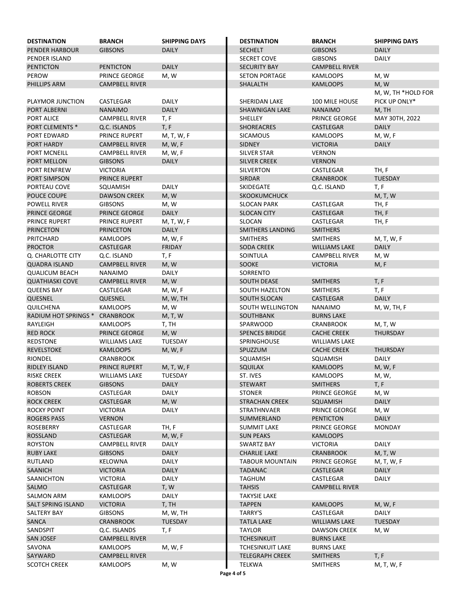| <b>DESTINATION</b>                | <b>BRANCH</b>                      | <b>SHIPPING DAYS</b>    | <b>DESTINATION</b>                    | <b>BRANCH</b>                | <b>SHIPPING DAYS</b> |
|-----------------------------------|------------------------------------|-------------------------|---------------------------------------|------------------------------|----------------------|
| <b>PENDER HARBOUR</b>             | <b>GIBSONS</b>                     | <b>DAILY</b>            | <b>SECHELT</b>                        | <b>GIBSONS</b>               | <b>DAILY</b>         |
| <b>PENDER ISLAND</b>              |                                    |                         | <b>SECRET COVE</b>                    | <b>GIBSONS</b>               | <b>DAILY</b>         |
| <b>PENTICTON</b>                  | <b>PENTICTON</b>                   | <b>DAILY</b>            | <b>SECURITY BAY</b>                   | <b>CAMPBELL RIVER</b>        |                      |
| PEROW                             | PRINCE GEORGE                      | M, W                    | <b>SETON PORTAGE</b>                  | <b>KAMLOOPS</b>              | M, W                 |
| PHILLIPS ARM                      | <b>CAMPBELL RIVER</b>              |                         | <b>SHALALTH</b>                       | <b>KAMLOOPS</b>              | M, W                 |
|                                   |                                    |                         |                                       |                              | M, W, TH *HOLD FOR   |
| PLAYMOR JUNCTION                  | CASTLEGAR                          | <b>DAILY</b>            | SHERIDAN LAKE                         | 100 MILE HOUSE               | PICK UP ONLY*        |
| PORT ALBERNI                      | <b>NANAIMO</b>                     | <b>DAILY</b>            | <b>SHAWNIGAN LAKE</b>                 | <b>NANAIMO</b>               | M, TH                |
| PORT ALICE                        | <b>CAMPBELL RIVER</b>              | T, F                    | SHELLEY                               | PRINCE GEORGE                | MAY 30TH, 2022       |
| PORT CLEMENTS *                   | Q.C. ISLANDS                       | T, F                    | <b>SHOREACRES</b>                     | <b>CASTLEGAR</b>             | <b>DAILY</b>         |
| PORT EDWARD                       | PRINCE RUPERT                      | M, T, W, F              | <b>SICAMOUS</b>                       | <b>KAMLOOPS</b>              | M, W, F              |
| PORT HARDY                        | <b>CAMPBELL RIVER</b>              | M, W, F                 | <b>SIDNEY</b>                         | <b>VICTORIA</b>              | <b>DAILY</b>         |
| PORT MCNEILL                      | <b>CAMPBELL RIVER</b>              | M, W, F                 | <b>SILVER STAR</b>                    | <b>VERNON</b>                |                      |
| PORT MELLON                       | <b>GIBSONS</b>                     | <b>DAILY</b>            | <b>SILVER CREEK</b>                   | <b>VERNON</b>                |                      |
| PORT RENFREW                      | <b>VICTORIA</b>                    |                         | SILVERTON                             | CASTLEGAR                    | TH, F                |
| PORT SIMPSON                      | PRINCE RUPERT                      |                         | <b>SIRDAR</b>                         | <b>CRANBROOK</b>             | <b>TUESDAY</b>       |
| PORTEAU COVE                      | SQUAMISH                           | <b>DAILY</b>            | SKIDEGATE                             | Q.C. ISLAND                  | T, F                 |
| POUCE COUPE                       | <b>DAWSON CREEK</b>                | M, W                    | SKOOKUMCHUCK                          |                              | M, T, W              |
| POWELL RIVER                      | <b>GIBSONS</b>                     | M, W                    | <b>SLOCAN PARK</b>                    | <b>CASTLEGAR</b>             | TH, F                |
| PRINCE GEORGE                     | <b>PRINCE GEORGE</b>               | <b>DAILY</b>            | <b>SLOCAN CITY</b>                    | <b>CASTLEGAR</b>             | TH, F                |
| PRINCE RUPERT                     | PRINCE RUPERT                      | M, T, W, F              | SLOCAN                                | CASTLEGAR                    | TH, F                |
| <b>PRINCETON</b>                  | <b>PRINCETON</b>                   | <b>DAILY</b>            | <b>SMITHERS LANDING</b>               | <b>SMITHERS</b>              |                      |
| PRITCHARD                         | <b>KAMLOOPS</b>                    | M, W, F                 | <b>SMITHERS</b>                       | <b>SMITHERS</b>              | M, T, W, F           |
| <b>PROCTOR</b>                    | <b>CASTLEGAR</b>                   | <b>FRIDAY</b>           | <b>SODA CREEK</b>                     | <b>WILLIAMS LAKE</b>         | <b>DAILY</b>         |
| Q. CHARLOTTE CITY                 | Q.C. ISLAND                        | T, F                    | SOINTULA                              | <b>CAMPBELL RIVER</b>        | M, W                 |
| <b>QUADRA ISLAND</b>              | <b>CAMPBELL RIVER</b>              | M, W                    | SOOKE                                 | <b>VICTORIA</b>              | M, F                 |
| <b>QUALICUM BEACH</b>             | <b>NANAIMO</b>                     | <b>DAILY</b>            | SORRENTO                              |                              |                      |
| <b>QUATHIASKI COVE</b>            | <b>CAMPBELL RIVER</b>              | M, W                    | <b>SOUTH DEASE</b>                    | <b>SMITHERS</b>              | T, F                 |
| <b>QUEENS BAY</b>                 | CASTLEGAR                          | M, W, F                 | <b>SOUTH HAZELTON</b>                 | <b>SMITHERS</b>              | T, F                 |
| QUESNEL                           | QUESNEL                            | M, W, TH                | SOUTH SLOCAN                          | <b>CASTLEGAR</b>             | <b>DAILY</b>         |
| QUILCHENA                         | <b>KAMLOOPS</b>                    | M, W                    | SOUTH WELLINGTON                      | <b>NANAIMO</b>               | M, W, TH, F          |
| RADIUM HOT SPRINGS * CRANBROOK    |                                    | M, T, W                 | SOUTHBANK                             | <b>BURNS LAKE</b>            |                      |
| RAYLEIGH                          | <b>KAMLOOPS</b>                    | T, TH                   | SPARWOOD                              | <b>CRANBROOK</b>             | M, T, W              |
| <b>RED ROCK</b>                   | <b>PRINCE GEORGE</b>               | M, W                    | <b>SPENCES BRIDGE</b>                 | <b>CACHE CREEK</b>           | <b>THURSDAY</b>      |
| <b>REDSTONE</b>                   | <b>WILLIAMS LAKE</b>               | <b>TUESDAY</b>          | SPRINGHOUSE                           | <b>WILLIAMS LAKE</b>         |                      |
| <b>REVELSTOKE</b>                 | <b>KAMLOOPS</b>                    | M, W, F                 | SPUZZUM                               | <b>CACHE CREEK</b>           | <b>THURSDAY</b>      |
| <b>RIONDEL</b>                    | <b>CRANBROOK</b>                   |                         | SQUAMISH                              | SQUAMISH                     | <b>DAILY</b>         |
| <b>RIDLEY ISLAND</b>              | PRINCE RUPERT                      | M, T, W, F              | <b>SQUILAX</b>                        | <b>KAMLOOPS</b>              | M, W, F              |
| <b>RISKE CREEK</b>                | <b>WILLIAMS LAKE</b>               | TUESDAY                 | ST. IVES                              | <b>KAMLOOPS</b>              | M, W,                |
| <b>ROBERTS CREEK</b>              | <b>GIBSONS</b>                     | <b>DAILY</b>            | <b>STEWART</b>                        | <b>SMITHERS</b>              | T, F                 |
| ROBSON                            | CASTLEGAR                          | <b>DAILY</b>            | <b>STONER</b>                         | PRINCE GEORGE                | M, W                 |
| <b>ROCK CREEK</b>                 | CASTLEGAR                          | M, W                    | <b>STRACHAN CREEK</b>                 | SQUAMISH                     | <b>DAILY</b>         |
| <b>ROCKY POINT</b>                | <b>VICTORIA</b>                    | DAILY                   | <b>STRATHNVAER</b>                    | PRINCE GEORGE                | M, W                 |
| <b>ROGERS PASS</b>                | <b>VERNON</b>                      |                         | SUMMERLAND                            | <b>PENTICTON</b>             | <b>DAILY</b>         |
| <b>ROSEBERRY</b>                  | CASTLEGAR                          | TH, F                   | <b>SUMMIT LAKE</b>                    | PRINCE GEORGE                | <b>MONDAY</b>        |
| <b>ROSSLAND</b><br><b>ROYSTON</b> | CASTLEGAR<br><b>CAMPBELL RIVER</b> | M, W, F<br><b>DAILY</b> | <b>SUN PEAKS</b><br><b>SWARTZ BAY</b> | <b>KAMLOOPS</b>              | <b>DAILY</b>         |
| <b>RUBY LAKE</b>                  | <b>GIBSONS</b>                     | <b>DAILY</b>            | <b>CHARLIE LAKE</b>                   | VICTORIA<br><b>CRANBROOK</b> | M, T, W              |
| <b>RUTLAND</b>                    | KELOWNA                            | <b>DAILY</b>            | <b>TABOUR MOUNTAIN</b>                | PRINCE GEORGE                | M, T, W, F           |
| <b>SAANICH</b>                    | <b>VICTORIA</b>                    | <b>DAILY</b>            | <b>TADANAC</b>                        | CASTLEGAR                    | <b>DAILY</b>         |
| SAANICHTON                        | <b>VICTORIA</b>                    | DAILY                   | TAGHUM                                | CASTLEGAR                    | DAILY                |
| SALMO                             | CASTLEGAR                          | T, W                    | <b>TAHSIS</b>                         | <b>CAMPBELL RIVER</b>        |                      |
| SALMON ARM                        | <b>KAMLOOPS</b>                    | <b>DAILY</b>            | <b>TAKYSIE LAKE</b>                   |                              |                      |
| <b>SALT SPRING ISLAND</b>         | <b>VICTORIA</b>                    | T, TH                   | <b>TAPPEN</b>                         | <b>KAMLOOPS</b>              | M, W, F              |
| <b>SALTERY BAY</b>                | <b>GIBSONS</b>                     | M, W, TH                | TARRY'S                               | CASTLEGAR                    | DAILY                |
| SANCA                             | <b>CRANBROOK</b>                   | <b>TUESDAY</b>          | <b>TATLA LAKE</b>                     | <b>WILLIAMS LAKE</b>         | <b>TUESDAY</b>       |
| SANDSPIT                          | Q.C. ISLANDS                       | T, F                    | <b>TAYLOR</b>                         | <b>DAWSON CREEK</b>          | M, W                 |
| <b>SAN JOSEF</b>                  | <b>CAMPBELL RIVER</b>              |                         | <b>TCHESINKUIT</b>                    | <b>BURNS LAKE</b>            |                      |
| SAVONA                            | KAMLOOPS                           | M, W, F                 | <b>TCHESINKUIT LAKE</b>               | <b>BURNS LAKE</b>            |                      |
| SAYWARD                           | <b>CAMPBELL RIVER</b>              |                         | <b>TELEGRAPH CREEK</b>                | <b>SMITHERS</b>              | T, F                 |
| <b>SCOTCH CREEK</b>               | KAMLOOPS                           | M, W                    | TELKWA                                | <b>SMITHERS</b>              | M, T, W, F           |
|                                   |                                    |                         | Page 4 of 5                           |                              |                      |